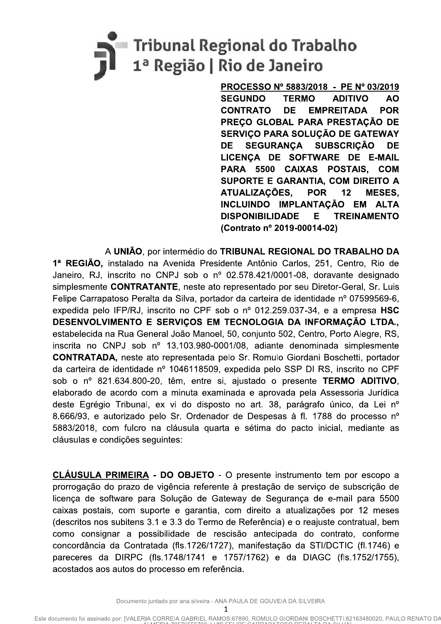# - Tribunal Regional do Trabalho<br>1ª Região | Rio de Janeiro

 $\overline{a}$ <u>PROCESSO N° 5883/2018 - PE N° 03/2019</u> SEGUNDO TERMO ADITIVO AO<br>CONTRATO DE EMPREITADA POR **CONTRATO EMPREITADA POR** PREÇU GLUBAL PARA PRESTAÇAU DE SERVIÇO PARA SOLUÇAO DE GATEWAY DE SEGURANÇA SUBSCRIÇÃO DE LICENÇA DE SOFTWARE DE E-MAIL PARA 5500 CAIXAS POSTAIS, COM SUPORTE E GARANTIA, COM DIREITO A ATUALIZAÇÕES, POR 12 MESES. INCLUINDO IMPLANTAÇÃO EM ALTA **DISPONIBILIDADE** (Contrato nº 2019-00014-02)

DE SEGURANÇA SUBSCRIÇAO DE<br>
LICENÇA DE SOFTWARE DE E-MAIL<br>
PARA 5500 CAIXAS POSTAIS, COM<br>
SUPORTE E GARANTIA, COM DIREITO A<br>
ATUALIZAÇÕES, POR 12 MESES,<br>
INCLUINDO IMPLANTAÇÃO EM ALTA<br>
DISPONIBILIDADE E TREINAMENTO<br>
(Contr A UNIÃO, por intermédio do TRIBUNAL REGIONAL DO TRABALHO DA 1ª REGIÃO, instalado na Avenida Presidente Antônio Carlos, 251, Centro, Rio de Janeiro, RJ, inscrito no CNPJ sob o nº 02.578.421/0001-08, doravante designado simplesmente **CONTRATANTE**, neste ato representado por seu Diretor-Geral, Sr. Luis Felipe Carrapatoso Peralta da Silva, portador da carteira de identidade nº 07599569-6, expedida pelo IFP/RJ, inscrito no CPF sob o nº 012.259.037-34, e a empresa  $HSC$ DESENVOLVIMENTO E SERVICOS EM TECNOLOGIA DA INFORMAÇÃO LTDA., estabelecida na Rua General João Manoel, 50, conjunto 502, Centro, Porto Alegre, RS, inscrita no CNPJ sob  $n^{\circ}$  13.103.980-0001/08, adiante denominada simplesmente **CONTRATADA, neste ato representada pelo Sr. Romulo Giordani Boschetti, portador** da carteira de identidade nº 1046118509, expedida pelo SSP DI RS, inscrito no CPF sob o  $n^{\circ}$  821.634.800-20, têm, entre si, ajustado o presente **TERMO ADITIVO**, elaborado de acordo com a minuta examinada e aprovada pela Assessoria Jurídica deste Egrégio Tribunal, ex vi do disposto no art. 38, parágrafo único, da Lei nº 8.666/93, e autorizado pelo Sr. Ordenador de Despesas à fl. 1788 do processo nº 5883/2018, com fulcro na cláusula quarta e sétima do pacto inicial, mediante as cláusulas e condições seguintes:

CLAUSULA PRIMEIRA - DO OBJETO - O presente instrumento tem por escopo a prorrogação do prazo de vigência referente à prestação de serviço de subscrição de licença de software para Solução de Gateway de Segurança de e-mail para 5500 caixas postais, com suporte e garantia, com direito a atualizações por 12 meses (descritos nos subitens 3.1 e 3.3 do Termo de Referência) e o reajuste contratual, bem como consignar a possibilidade de rescisão antecipada do contrato, conforme concordância da Contratada (fls.1726/1727), manifestação da STI/DCTIC (fl.1746) e pareceres da DIRPC (fls.1748/1741 e 1757/1762) e da DIAGC (fls.1752/1755), acostados aos autos do processo em referência.

 $\mathbf{I}$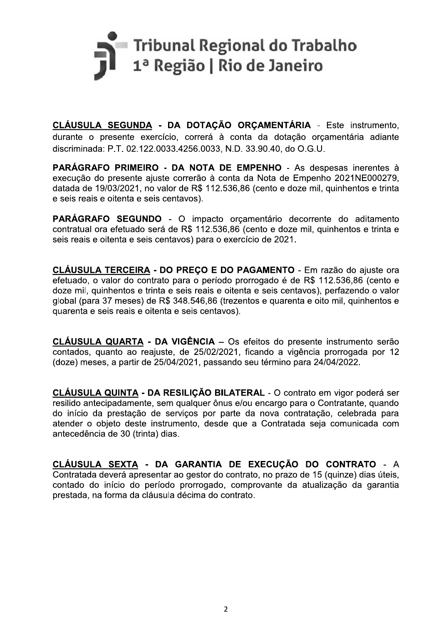

CLÁUSULA SEGUNDA - DA DOTAÇÃO ORÇAMENTÁRIA - Este instrumento. durante o presente exercício, correrá à conta da dotação orçamentária adiante discriminada: P.T. 02.122.0033.4256.0033, N.D. 33.90.40, do O.G.U.

PARÁGRAFO PRIMEIRO - DA NOTA DE EMPENHO - As despesas inerentes à execução do presente ajuste correrão à conta da Nota de Empenho 2021NE000279, datada de 19/03/2021, no valor de R\$ 112.536,86 (cento e doze mil, quinhentos e trinta e seis reais e oitenta e seis centavos).

PARÁGRAFO SEGUNDO - O impacto orçamentário decorrente do aditamento contratual ora efetuado será de R\$ 112.536,86 (cento e doze mil, quinhentos e trinta e seis reais e oitenta e seis centavos) para o exercício de 2021.

CLÁUSULA TERCEIRA - DO PREÇO E DO PAGAMENTO - Em razão do ajuste ora efetuado. o valor do contrato para o período prorrogado é de R\$ 112.536,86 (cento e doze mil, quinhentos e trinta e seis reais e oitenta e seis centavos), perfazendo o valor global (para 37 meses) de R\$ 348.546.86 (trezentos e quarenta e oito mil, quinhentos e quarenta e seis reais e oitenta e seis centavos).

CLÁUSULA QUARTA - DA VIGÊNCIA - Os efeitos do presente instrumento serão contados, quanto ao reajuste, de 25/02/2021, ficando a vigência prorrogada por 12 (doze) meses, a partir de 25/04/2021, passando seu término para 24/04/2022.

CLÁUSULA QUINTA - DA RESILIÇÃO BILATERAL - O contrato em vigor poderá ser resilido antecipadamente, sem qualquer ônus e/ou encargo para o Contratante, quando do início da prestação de servicos por parte da nova contratação, celebrada para atender o objeto deste instrumento, desde que a Contratada seja comunicada com antecedência de 30 (trinta) dias.

CLÁUSULA SEXTA - DA GARANTIA DE EXECUÇÃO DO CONTRATO - A Contratada deverá apresentar ao gestor do contrato, no prazo de 15 (quinze) dias úteis, contado do início do período prorrogado, comprovante da atualização da garantia prestada, na forma da cláusula décima do contrato.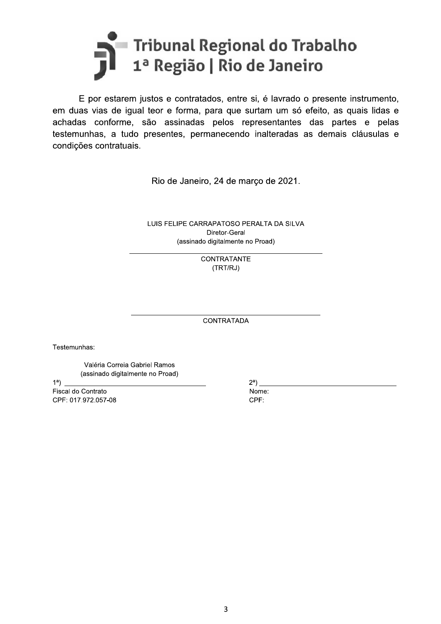# Tribunal Regional do Trabalho<br>1ª Região | Rio de Janeiro

E por estarem justos e contratados, entre si, é lavrado o presente instrumento, em duas vias de igual teor e forma, para que surtam um só efeito, as quais lidas e achadas conforme, são assinadas pelos representantes das partes e pelas testemunhas, a tudo presentes, permanecendo inalteradas as demais cláusulas e condições contratuais.

Rio de Janeiro, 24 de março de 2021.

LUIS FELIPE CARRAPATOSO PERALTA DA SILVA Diretor-Geral (assinado digitalmente no Proad)

> **CONTRATANTE** (TRT/RJ)

**CONTRATADA** 

Testemunhas:

Valéria Correia Gabriel Ramos (assinado digitalmente no Proad)

 $1<sup>a</sup>$ 

Fiscal do Contrato CPF: 017.972.057-08  $2^a$ )

Nome: CPF: